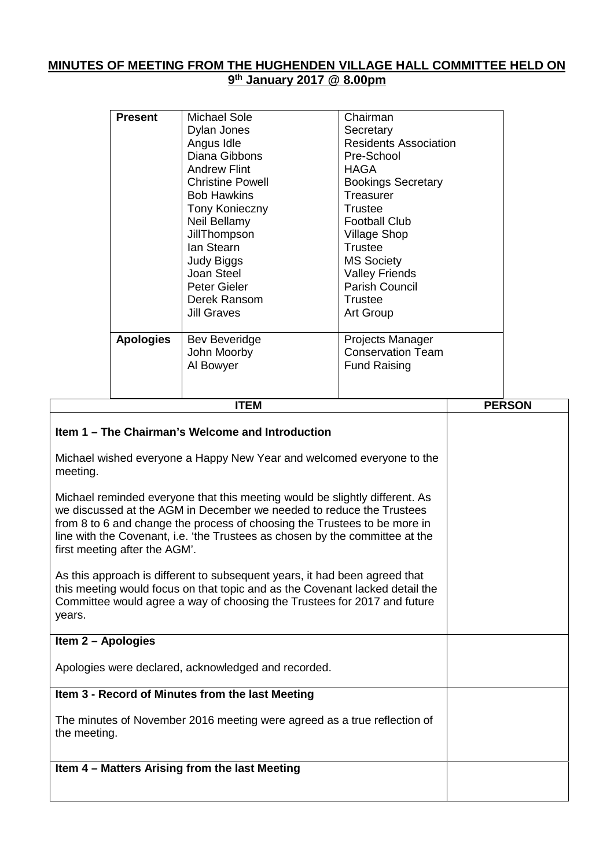## **MINUTES OF MEETING FROM THE HUGHENDEN VILLAGE HALL COMMITTEE HELD ON 9 th January 2017 @ 8.00pm**

|                    | <b>Present</b>                                                                                                                                                                                                                         | <b>Michael Sole</b><br>Dylan Jones<br>Angus Idle<br>Diana Gibbons<br><b>Andrew Flint</b><br><b>Christine Powell</b><br><b>Bob Hawkins</b><br>Tony Konieczny<br>Neil Bellamy<br><b>JillThompson</b><br>lan Stearn<br>Judy Biggs<br>Joan Steel<br>Peter Gieler<br>Derek Ransom                                     | Chairman<br>Secretary<br><b>Residents Association</b><br>Pre-School<br><b>HAGA</b><br><b>Bookings Secretary</b><br>Treasurer<br>Trustee<br><b>Football Club</b><br><b>Village Shop</b><br><b>Trustee</b><br><b>MS Society</b><br><b>Valley Friends</b><br>Parish Council<br><b>Trustee</b> |               |
|--------------------|----------------------------------------------------------------------------------------------------------------------------------------------------------------------------------------------------------------------------------------|------------------------------------------------------------------------------------------------------------------------------------------------------------------------------------------------------------------------------------------------------------------------------------------------------------------|--------------------------------------------------------------------------------------------------------------------------------------------------------------------------------------------------------------------------------------------------------------------------------------------|---------------|
|                    | <b>Apologies</b>                                                                                                                                                                                                                       | <b>Jill Graves</b><br>Bev Beveridge<br>John Moorby<br>Al Bowyer                                                                                                                                                                                                                                                  | Art Group<br>Projects Manager<br><b>Conservation Team</b><br><b>Fund Raising</b>                                                                                                                                                                                                           |               |
|                    |                                                                                                                                                                                                                                        | <b>ITEM</b>                                                                                                                                                                                                                                                                                                      |                                                                                                                                                                                                                                                                                            | <b>PERSON</b> |
| meeting.           | Item 1 – The Chairman's Welcome and Introduction<br>Michael wished everyone a Happy New Year and welcomed everyone to the                                                                                                              |                                                                                                                                                                                                                                                                                                                  |                                                                                                                                                                                                                                                                                            |               |
|                    | first meeting after the AGM'.                                                                                                                                                                                                          | Michael reminded everyone that this meeting would be slightly different. As<br>we discussed at the AGM in December we needed to reduce the Trustees<br>from 8 to 6 and change the process of choosing the Trustees to be more in<br>line with the Covenant, i.e. 'the Trustees as chosen by the committee at the |                                                                                                                                                                                                                                                                                            |               |
| years.             | As this approach is different to subsequent years, it had been agreed that<br>this meeting would focus on that topic and as the Covenant lacked detail the<br>Committee would agree a way of choosing the Trustees for 2017 and future |                                                                                                                                                                                                                                                                                                                  |                                                                                                                                                                                                                                                                                            |               |
| Item 2 - Apologies |                                                                                                                                                                                                                                        |                                                                                                                                                                                                                                                                                                                  |                                                                                                                                                                                                                                                                                            |               |
|                    | Apologies were declared, acknowledged and recorded.                                                                                                                                                                                    |                                                                                                                                                                                                                                                                                                                  |                                                                                                                                                                                                                                                                                            |               |
|                    | Item 3 - Record of Minutes from the last Meeting                                                                                                                                                                                       |                                                                                                                                                                                                                                                                                                                  |                                                                                                                                                                                                                                                                                            |               |

The minutes of November 2016 meeting were agreed as a true reflection of the meeting.

**Item 4 – Matters Arising from the last Meeting**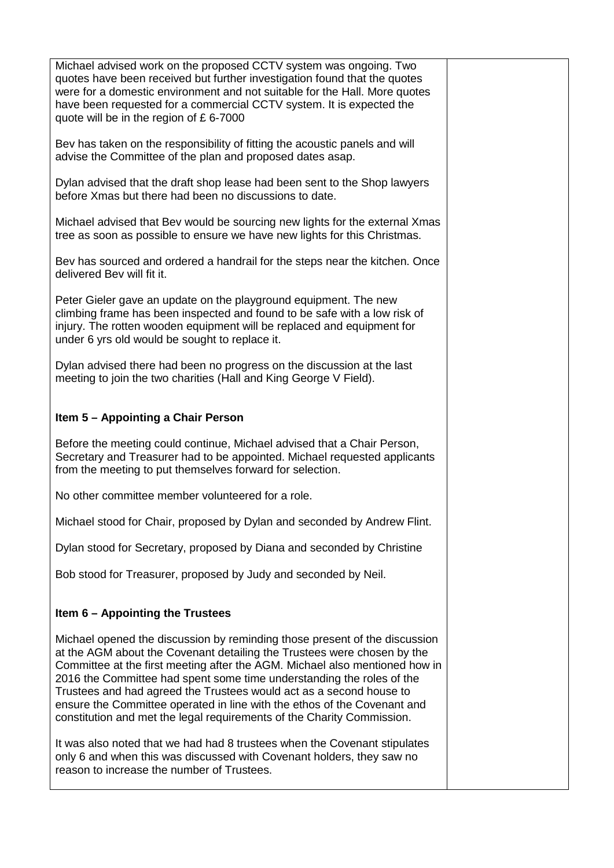| Michael advised work on the proposed CCTV system was ongoing. Two<br>quotes have been received but further investigation found that the quotes<br>were for a domestic environment and not suitable for the Hall. More quotes<br>have been requested for a commercial CCTV system. It is expected the<br>quote will be in the region of £6-7000                                                                                                                                                                                             |  |
|--------------------------------------------------------------------------------------------------------------------------------------------------------------------------------------------------------------------------------------------------------------------------------------------------------------------------------------------------------------------------------------------------------------------------------------------------------------------------------------------------------------------------------------------|--|
| Bev has taken on the responsibility of fitting the acoustic panels and will<br>advise the Committee of the plan and proposed dates asap.                                                                                                                                                                                                                                                                                                                                                                                                   |  |
| Dylan advised that the draft shop lease had been sent to the Shop lawyers<br>before Xmas but there had been no discussions to date.                                                                                                                                                                                                                                                                                                                                                                                                        |  |
| Michael advised that Bev would be sourcing new lights for the external Xmas<br>tree as soon as possible to ensure we have new lights for this Christmas.                                                                                                                                                                                                                                                                                                                                                                                   |  |
| Bev has sourced and ordered a handrail for the steps near the kitchen. Once<br>delivered Bev will fit it.                                                                                                                                                                                                                                                                                                                                                                                                                                  |  |
| Peter Gieler gave an update on the playground equipment. The new<br>climbing frame has been inspected and found to be safe with a low risk of<br>injury. The rotten wooden equipment will be replaced and equipment for<br>under 6 yrs old would be sought to replace it.                                                                                                                                                                                                                                                                  |  |
| Dylan advised there had been no progress on the discussion at the last<br>meeting to join the two charities (Hall and King George V Field).                                                                                                                                                                                                                                                                                                                                                                                                |  |
| Item 5 - Appointing a Chair Person                                                                                                                                                                                                                                                                                                                                                                                                                                                                                                         |  |
| Before the meeting could continue, Michael advised that a Chair Person,<br>Secretary and Treasurer had to be appointed. Michael requested applicants<br>from the meeting to put themselves forward for selection.                                                                                                                                                                                                                                                                                                                          |  |
| No other committee member volunteered for a role.                                                                                                                                                                                                                                                                                                                                                                                                                                                                                          |  |
| Michael stood for Chair, proposed by Dylan and seconded by Andrew Flint.                                                                                                                                                                                                                                                                                                                                                                                                                                                                   |  |
| Dylan stood for Secretary, proposed by Diana and seconded by Christine                                                                                                                                                                                                                                                                                                                                                                                                                                                                     |  |
| Bob stood for Treasurer, proposed by Judy and seconded by Neil.                                                                                                                                                                                                                                                                                                                                                                                                                                                                            |  |
| Item 6 – Appointing the Trustees                                                                                                                                                                                                                                                                                                                                                                                                                                                                                                           |  |
| Michael opened the discussion by reminding those present of the discussion<br>at the AGM about the Covenant detailing the Trustees were chosen by the<br>Committee at the first meeting after the AGM. Michael also mentioned how in<br>2016 the Committee had spent some time understanding the roles of the<br>Trustees and had agreed the Trustees would act as a second house to<br>ensure the Committee operated in line with the ethos of the Covenant and<br>constitution and met the legal requirements of the Charity Commission. |  |
| It was also noted that we had had 8 trustees when the Covenant stipulates<br>only 6 and when this was discussed with Covenant holders, they saw no<br>reason to increase the number of Trustees.                                                                                                                                                                                                                                                                                                                                           |  |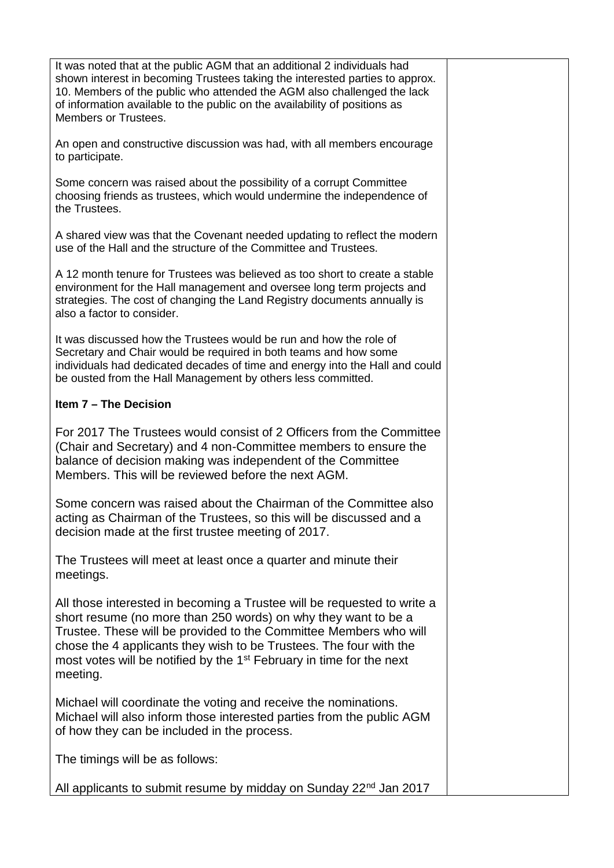| It was noted that at the public AGM that an additional 2 individuals had<br>shown interest in becoming Trustees taking the interested parties to approx.<br>10. Members of the public who attended the AGM also challenged the lack<br>of information available to the public on the availability of positions as<br>Members or Trustees.                                            |  |
|--------------------------------------------------------------------------------------------------------------------------------------------------------------------------------------------------------------------------------------------------------------------------------------------------------------------------------------------------------------------------------------|--|
| An open and constructive discussion was had, with all members encourage<br>to participate.                                                                                                                                                                                                                                                                                           |  |
| Some concern was raised about the possibility of a corrupt Committee<br>choosing friends as trustees, which would undermine the independence of<br>the Trustees.                                                                                                                                                                                                                     |  |
| A shared view was that the Covenant needed updating to reflect the modern<br>use of the Hall and the structure of the Committee and Trustees.                                                                                                                                                                                                                                        |  |
| A 12 month tenure for Trustees was believed as too short to create a stable<br>environment for the Hall management and oversee long term projects and<br>strategies. The cost of changing the Land Registry documents annually is<br>also a factor to consider.                                                                                                                      |  |
| It was discussed how the Trustees would be run and how the role of<br>Secretary and Chair would be required in both teams and how some<br>individuals had dedicated decades of time and energy into the Hall and could<br>be ousted from the Hall Management by others less committed.                                                                                               |  |
| Item 7 - The Decision                                                                                                                                                                                                                                                                                                                                                                |  |
| For 2017 The Trustees would consist of 2 Officers from the Committee<br>(Chair and Secretary) and 4 non-Committee members to ensure the<br>balance of decision making was independent of the Committee<br>Members. This will be reviewed before the next AGM.                                                                                                                        |  |
| Some concern was raised about the Chairman of the Committee also<br>acting as Chairman of the Trustees, so this will be discussed and a<br>decision made at the first trustee meeting of 2017.                                                                                                                                                                                       |  |
| The Trustees will meet at least once a quarter and minute their<br>meetings.                                                                                                                                                                                                                                                                                                         |  |
| All those interested in becoming a Trustee will be requested to write a<br>short resume (no more than 250 words) on why they want to be a<br>Trustee. These will be provided to the Committee Members who will<br>chose the 4 applicants they wish to be Trustees. The four with the<br>most votes will be notified by the 1 <sup>st</sup> February in time for the next<br>meeting. |  |
| Michael will coordinate the voting and receive the nominations.<br>Michael will also inform those interested parties from the public AGM<br>of how they can be included in the process.                                                                                                                                                                                              |  |
| The timings will be as follows:                                                                                                                                                                                                                                                                                                                                                      |  |
| All applicants to submit resume by midday on Sunday 22 <sup>nd</sup> Jan 2017                                                                                                                                                                                                                                                                                                        |  |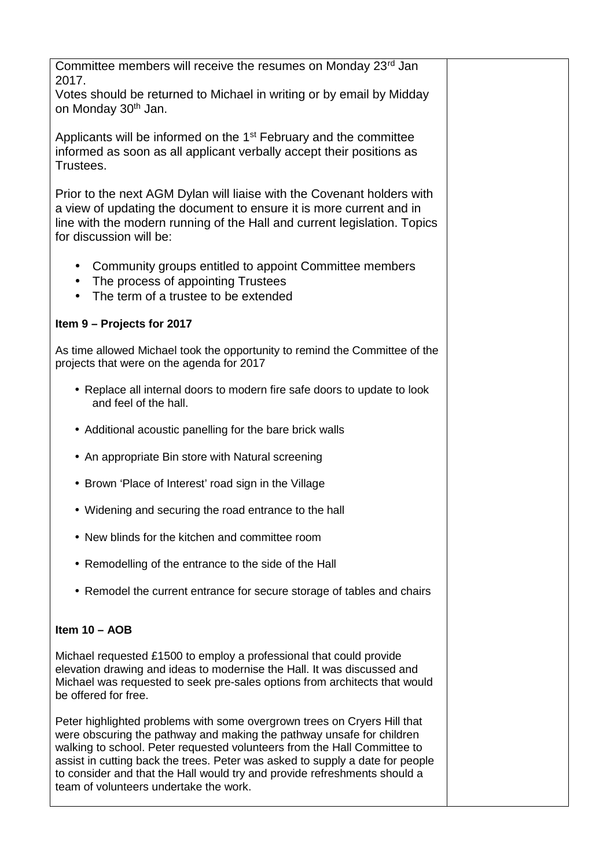| Committee members will receive the resumes on Monday 23rd Jan<br>2017.                                                                                                                                                                                                                                                                                                                                                                |  |  |  |  |  |
|---------------------------------------------------------------------------------------------------------------------------------------------------------------------------------------------------------------------------------------------------------------------------------------------------------------------------------------------------------------------------------------------------------------------------------------|--|--|--|--|--|
| Votes should be returned to Michael in writing or by email by Midday<br>on Monday 30 <sup>th</sup> Jan.                                                                                                                                                                                                                                                                                                                               |  |  |  |  |  |
| Applicants will be informed on the 1 <sup>st</sup> February and the committee<br>informed as soon as all applicant verbally accept their positions as<br>Trustees.                                                                                                                                                                                                                                                                    |  |  |  |  |  |
| Prior to the next AGM Dylan will liaise with the Covenant holders with<br>a view of updating the document to ensure it is more current and in<br>line with the modern running of the Hall and current legislation. Topics<br>for discussion will be:                                                                                                                                                                                  |  |  |  |  |  |
| Community groups entitled to appoint Committee members<br>$\bullet$<br>The process of appointing Trustees<br>$\bullet$<br>The term of a trustee to be extended<br>$\bullet$                                                                                                                                                                                                                                                           |  |  |  |  |  |
| Item 9 - Projects for 2017                                                                                                                                                                                                                                                                                                                                                                                                            |  |  |  |  |  |
| As time allowed Michael took the opportunity to remind the Committee of the<br>projects that were on the agenda for 2017                                                                                                                                                                                                                                                                                                              |  |  |  |  |  |
| • Replace all internal doors to modern fire safe doors to update to look<br>and feel of the hall.                                                                                                                                                                                                                                                                                                                                     |  |  |  |  |  |
| • Additional acoustic panelling for the bare brick walls                                                                                                                                                                                                                                                                                                                                                                              |  |  |  |  |  |
| • An appropriate Bin store with Natural screening                                                                                                                                                                                                                                                                                                                                                                                     |  |  |  |  |  |
| • Brown 'Place of Interest' road sign in the Village                                                                                                                                                                                                                                                                                                                                                                                  |  |  |  |  |  |
| • Widening and securing the road entrance to the hall                                                                                                                                                                                                                                                                                                                                                                                 |  |  |  |  |  |
| • New blinds for the kitchen and committee room                                                                                                                                                                                                                                                                                                                                                                                       |  |  |  |  |  |
| Remodelling of the entrance to the side of the Hall<br>$\bullet$                                                                                                                                                                                                                                                                                                                                                                      |  |  |  |  |  |
| • Remodel the current entrance for secure storage of tables and chairs                                                                                                                                                                                                                                                                                                                                                                |  |  |  |  |  |
| Item $10 - AOB$                                                                                                                                                                                                                                                                                                                                                                                                                       |  |  |  |  |  |
| Michael requested £1500 to employ a professional that could provide<br>elevation drawing and ideas to modernise the Hall. It was discussed and<br>Michael was requested to seek pre-sales options from architects that would<br>be offered for free.                                                                                                                                                                                  |  |  |  |  |  |
| Peter highlighted problems with some overgrown trees on Cryers Hill that<br>were obscuring the pathway and making the pathway unsafe for children<br>walking to school. Peter requested volunteers from the Hall Committee to<br>assist in cutting back the trees. Peter was asked to supply a date for people<br>to consider and that the Hall would try and provide refreshments should a<br>team of volunteers undertake the work. |  |  |  |  |  |
|                                                                                                                                                                                                                                                                                                                                                                                                                                       |  |  |  |  |  |